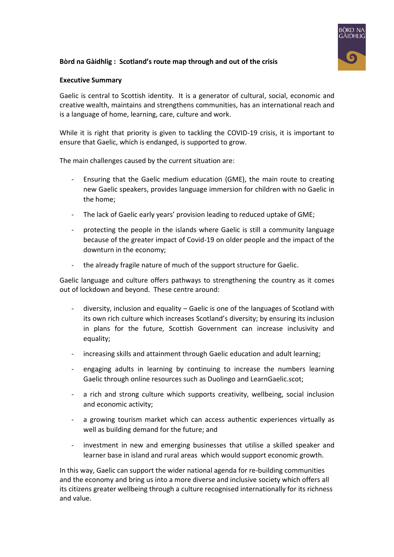### **Bòrd na Gàidhlig : Scotland's route map through and out of the crisis**



### **Executive Summary**

Gaelic is central to Scottish identity. It is a generator of cultural, social, economic and creative wealth, maintains and strengthens communities, has an international reach and is a language of home, learning, care, culture and work.

While it is right that priority is given to tackling the COVID-19 crisis, it is important to ensure that Gaelic, which is endanged, is supported to grow.

The main challenges caused by the current situation are:

- Ensuring that the Gaelic medium education (GME), the main route to creating new Gaelic speakers, provides language immersion for children with no Gaelic in the home;
- The lack of Gaelic early years' provision leading to reduced uptake of GME;
- protecting the people in the islands where Gaelic is still a community language because of the greater impact of Covid-19 on older people and the impact of the downturn in the economy;
- the already fragile nature of much of the support structure for Gaelic.

Gaelic language and culture offers pathways to strengthening the country as it comes out of lockdown and beyond. These centre around:

- diversity, inclusion and equality  $-$  Gaelic is one of the languages of Scotland with its own rich culture which increases Scotland's diversity; by ensuring its inclusion in plans for the future, Scottish Government can increase inclusivity and equality;
- increasing skills and attainment through Gaelic education and adult learning;
- engaging adults in learning by continuing to increase the numbers learning Gaelic through online resources such as Duolingo and LearnGaelic.scot;
- a rich and strong culture which supports creativity, wellbeing, social inclusion and economic activity;
- a growing tourism market which can access authentic experiences virtually as well as building demand for the future; and
- investment in new and emerging businesses that utilise a skilled speaker and learner base in island and rural areas which would support economic growth.

In this way, Gaelic can support the wider national agenda for re-building communities and the economy and bring us into a more diverse and inclusive society which offers all its citizens greater wellbeing through a culture recognised internationally for its richness and value.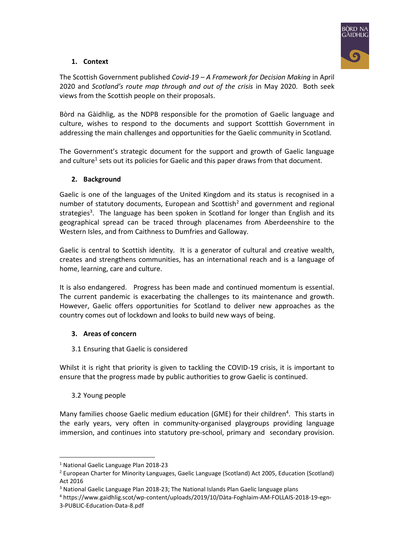

# **1. Context**

The Scottish Government published *Covid-19 – A Framework for Decision Making* in April 2020 and *Scotland's route map through and out of the crisis* in May 2020. Both seek views from the Scottish people on their proposals.

Bòrd na Gàidhlig, as the NDPB responsible for the promotion of Gaelic language and culture, wishes to respond to the documents and support Scotttish Government in addressing the main challenges and opportunities for the Gaelic community in Scotland.

The Government's strategic document for the support and growth of Gaelic language and culture<sup>1</sup> sets out its policies for Gaelic and this paper draws from that document.

## **2. Background**

Gaelic is one of the languages of the United Kingdom and its status is recognised in a number of statutory documents, European and Scottish<sup>2</sup> and government and regional strategies<sup>3</sup>. The language has been spoken in Scotland for longer than English and its geographical spread can be traced through placenames from Aberdeenshire to the Western Isles, and from Caithness to Dumfries and Galloway.

Gaelic is central to Scottish identity. It is a generator of cultural and creative wealth, creates and strengthens communities, has an international reach and is a language of home, learning, care and culture.

It is also endangered. Progress has been made and continued momentum is essential. The current pandemic is exacerbating the challenges to its maintenance and growth. However, Gaelic offers opportunities for Scotland to deliver new approaches as the country comes out of lockdown and looks to build new ways of being.

## **3. Areas of concern**

3.1 Ensuring that Gaelic is considered

Whilst it is right that priority is given to tackling the COVID-19 crisis, it is important to ensure that the progress made by public authorities to grow Gaelic is continued.

## 3.2 Young people

Many families choose Gaelic medium education (GME) for their children<sup>4</sup>. This starts in the early years, very often in community-organised playgroups providing language immersion, and continues into statutory pre-school, primary and secondary provision.

<sup>1</sup> National Gaelic Language Plan 2018-23

<sup>2</sup> European Charter for Minority Languages, Gaelic Language (Scotland) Act 2005, Education (Scotland) Act 2016

<sup>3</sup> National Gaelic Language Plan 2018-23; The National Islands Plan Gaelic language plans

<sup>4</sup> https://www.gaidhlig.scot/wp-content/uploads/2019/10/Dàta-Foghlaim-AM-FOLLAIS-2018-19-egn-

<sup>3-</sup>PUBLIC-Education-Data-8.pdf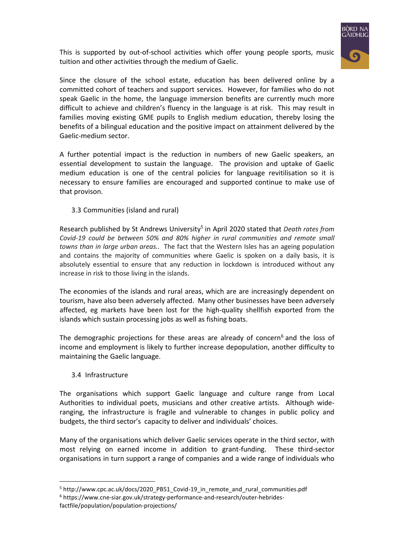

This is supported by out-of-school activities which offer young people sports, music tuition and other activities through the medium of Gaelic.

Since the closure of the school estate, education has been delivered online by a committed cohort of teachers and support services. However, for families who do not speak Gaelic in the home, the language immersion benefits are currently much more difficult to achieve and children's fluency in the language is at risk. This may result in families moving existing GME pupils to English medium education, thereby losing the benefits of a bilingual education and the positive impact on attainment delivered by the Gaelic-medium sector.

A further potential impact is the reduction in numbers of new Gaelic speakers, an essential development to sustain the language. The provision and uptake of Gaelic medium education is one of the central policies for language revitilisation so it is necessary to ensure families are encouraged and supported continue to make use of that provison.

3.3 Communities (island and rural)

Research published by St Andrews University<sup>5</sup> in April 2020 stated that *Death rates from Covid-19 could be between 50% and 80% higher in rural communities and remote small towns than in large urban areas..* The fact that the Western Isles has an ageing population and contains the majority of communities where Gaelic is spoken on a daily basis, it is absolutely essential to ensure that any reduction in lockdown is introduced without any increase in risk to those living in the islands.

The economies of the islands and rural areas, which are are increasingly dependent on tourism, have also been adversely affected. Many other businesses have been adversely affected, eg markets have been lost for the high-quality shellfish exported from the islands which sustain processing jobs as well as fishing boats.

The demographic projections for these areas are already of concern<sup>6</sup> and the loss of income and employment is likely to further increase depopulation, another difficulty to maintaining the Gaelic language.

3.4 Infrastructure

The organisations which support Gaelic language and culture range from Local Authorities to individual poets, musicians and other creative artists. Although wideranging, the infrastructure is fragile and vulnerable to changes in public policy and budgets, the third sector's capacity to deliver and individuals' choices.

Many of the organisations which deliver Gaelic services operate in the third sector, with most relying on earned income in addition to grant-funding. These third-sector organisations in turn support a range of companies and a wide range of individuals who

<sup>&</sup>lt;sup>5</sup> http://www.cpc.ac.uk/docs/2020\_PB51\_Covid-19\_in\_remote\_and\_rural\_communities.pdf

<sup>6</sup> https://www.cne-siar.gov.uk/strategy-performance-and-research/outer-hebridesfactfile/population/population-projections/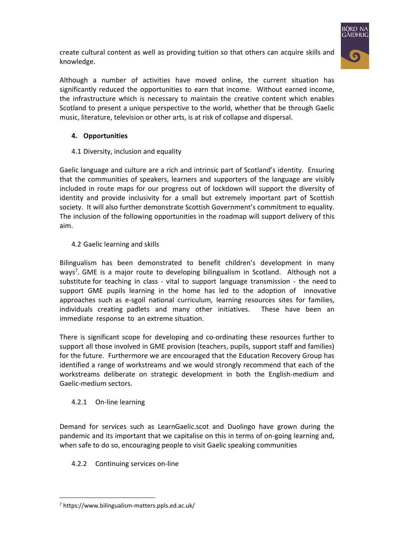

create cultural content as well as providing tuition so that others can acquire skills and knowledge.

Although a number of activities have moved online, the current situation has significantly reduced the opportunities to earn that income. Without earned income, the infrastructure which is necessary to maintain the creative content which enables Scotland to present a unique perspective to the world, whether that be through Gaelic music, literature, television or other arts, is at risk of collapse and dispersal.

## **4. Opportunities**

4.1 Diversity, inclusion and equality

Gaelic language and culture are a rich and intrinsic part of Scotland's identity. Ensuring that the communities of speakers, learners and supporters of the language are visibly included in route maps for our progress out of lockdown will support the diversity of identity and provide inclusivity for a small but extremely important part of Scottish society. It will also further demonstrate Scottish Government's commitment to equality. The inclusion of the following opportunities in the roadmap will support delivery of this aim.

4.2 Gaelic learning and skills

Bilingualism has been demonstrated to benefit children's development in many ways<sup>7</sup>. GME is a major route to developing bilingualism in Scotland. Although not a substitute for teaching in class - vital to support language transmission - the need to support GME pupils learning in the home has led to the adoption of innovative approaches such as e-sgoil national curriculum, learning resources sites for families, individuals creating padlets and many other initiatives. These have been an immediate response to an extreme situation.

There is significant scope for developing and co-ordinating these resources further to support all those involved in GME provision (teachers, pupils, support staff and families) for the future. Furthermore we are encouraged that the Education Recovery Group has identified a range of workstreams and we would strongly recommend that each of the workstreams deliberate on strategic development in both the English-medium and Gaelic-medium sectors.

#### 4.2.1 On-line learning

Demand for services such as LearnGaelic.scot and Duolingo have grown during the pandemic and its important that we capitalise on this in terms of on-going learning and, when safe to do so, encouraging people to visit Gaelic speaking communities

4.2.2 Continuing services on-line

<sup>7</sup> https://www.bilingualism-matters.ppls.ed.ac.uk/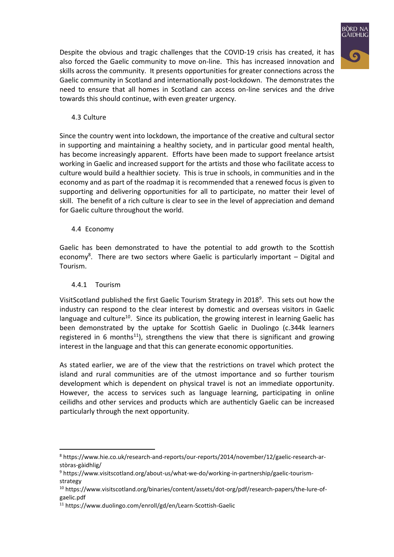

Despite the obvious and tragic challenges that the COVID-19 crisis has created, it has also forced the Gaelic community to move on-line. This has increased innovation and skills across the community. It presents opportunities for greater connections across the Gaelic community in Scotland and internationally post-lockdown. The demonstrates the need to ensure that all homes in Scotland can access on-line services and the drive towards this should continue, with even greater urgency.

## 4.3 Culture

Since the country went into lockdown, the importance of the creative and cultural sector in supporting and maintaining a healthy society, and in particular good mental health, has become increasingly apparent. Efforts have been made to support freelance artsist working in Gaelic and increased support for the artists and those who facilitate access to culture would build a healthier society. This is true in schools, in communities and in the economy and as part of the roadmap it is recommended that a renewed focus is given to supporting and delivering opportunities for all to participate, no matter their level of skill. The benefit of a rich culture is clear to see in the level of appreciation and demand for Gaelic culture throughout the world.

## 4.4 Economy

Gaelic has been demonstrated to have the potential to add growth to the Scottish economy<sup>8</sup>. There are two sectors where Gaelic is particularly important – Digital and Tourism.

## 4.4.1 Tourism

VisitScotland published the first Gaelic Tourism Strategy in 2018<sup>9</sup>. This sets out how the industry can respond to the clear interest by domestic and overseas visitors in Gaelic language and culture<sup>10</sup>. Since its publication, the growing interest in learning Gaelic has been demonstrated by the uptake for Scottish Gaelic in Duolingo (c.344k learners registered in 6 months<sup>11</sup>), strengthens the view that there is significant and growing interest in the language and that this can generate economic opportunities.

As stated earlier, we are of the view that the restrictions on travel which protect the island and rural communities are of the utmost importance and so further tourism development which is dependent on physical travel is not an immediate opportunity. However, the access to services such as language learning, participating in online ceilidhs and other services and products which are authenticly Gaelic can be increased particularly through the next opportunity.

<sup>8</sup> https://www.hie.co.uk/research-and-reports/our-reports/2014/november/12/gaelic-research-arstòras-gàidhlig/

<sup>9</sup> https://www.visitscotland.org/about-us/what-we-do/working-in-partnership/gaelic-tourismstrategy

<sup>10</sup> https://www.visitscotland.org/binaries/content/assets/dot-org/pdf/research-papers/the-lure-ofgaelic.pdf

<sup>11</sup> https://www.duolingo.com/enroll/gd/en/Learn-Scottish-Gaelic